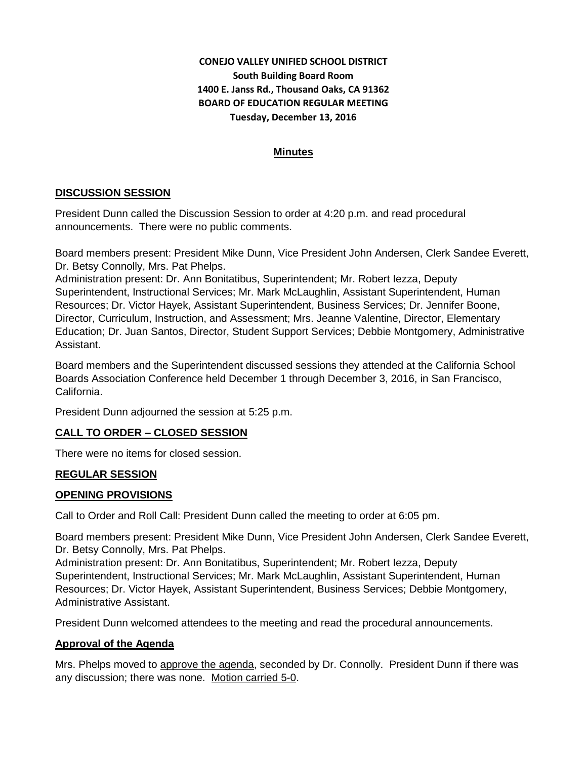# **CONEJO VALLEY UNIFIED SCHOOL DISTRICT South Building Board Room 1400 E. Janss Rd., Thousand Oaks, CA 91362 BOARD OF EDUCATION REGULAR MEETING Tuesday, December 13, 2016**

## **Minutes**

# **DISCUSSION SESSION**

President Dunn called the Discussion Session to order at 4:20 p.m. and read procedural announcements. There were no public comments.

Board members present: President Mike Dunn, Vice President John Andersen, Clerk Sandee Everett, Dr. Betsy Connolly, Mrs. Pat Phelps.

Administration present: Dr. Ann Bonitatibus, Superintendent; Mr. Robert Iezza, Deputy Superintendent, Instructional Services; Mr. Mark McLaughlin, Assistant Superintendent, Human Resources; Dr. Victor Hayek, Assistant Superintendent, Business Services; Dr. Jennifer Boone, Director, Curriculum, Instruction, and Assessment; Mrs. Jeanne Valentine, Director, Elementary Education; Dr. Juan Santos, Director, Student Support Services; Debbie Montgomery, Administrative Assistant.

Board members and the Superintendent discussed sessions they attended at the California School Boards Association Conference held December 1 through December 3, 2016, in San Francisco, California.

President Dunn adjourned the session at 5:25 p.m.

# **CALL TO ORDER – CLOSED SESSION**

There were no items for closed session.

#### **REGULAR SESSION**

#### **OPENING PROVISIONS**

Call to Order and Roll Call: President Dunn called the meeting to order at 6:05 pm.

Board members present: President Mike Dunn, Vice President John Andersen, Clerk Sandee Everett, Dr. Betsy Connolly, Mrs. Pat Phelps.

Administration present: Dr. Ann Bonitatibus, Superintendent; Mr. Robert Iezza, Deputy Superintendent, Instructional Services; Mr. Mark McLaughlin, Assistant Superintendent, Human Resources; Dr. Victor Hayek, Assistant Superintendent, Business Services; Debbie Montgomery, Administrative Assistant.

President Dunn welcomed attendees to the meeting and read the procedural announcements.

#### **Approval of the Agenda**

Mrs. Phelps moved to approve the agenda, seconded by Dr. Connolly. President Dunn if there was any discussion; there was none. Motion carried 5-0.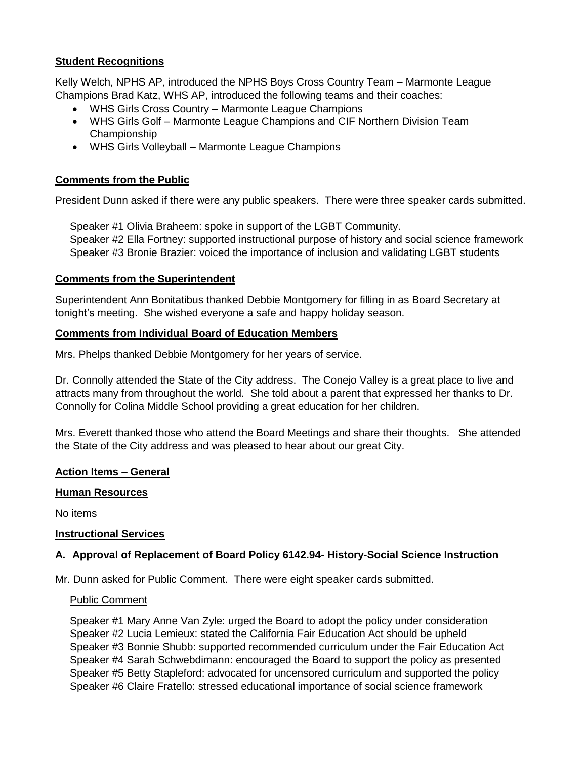# **Student Recognitions**

Kelly Welch, NPHS AP, introduced the NPHS Boys Cross Country Team – Marmonte League Champions Brad Katz, WHS AP, introduced the following teams and their coaches:

- WHS Girls Cross Country Marmonte League Champions
- WHS Girls Golf Marmonte League Champions and CIF Northern Division Team Championship
- WHS Girls Volleyball Marmonte League Champions

## **Comments from the Public**

President Dunn asked if there were any public speakers. There were three speaker cards submitted.

Speaker #1 Olivia Braheem: spoke in support of the LGBT Community.

 Speaker #2 Ella Fortney: supported instructional purpose of history and social science framework Speaker #3 Bronie Brazier: voiced the importance of inclusion and validating LGBT students

#### **Comments from the Superintendent**

Superintendent Ann Bonitatibus thanked Debbie Montgomery for filling in as Board Secretary at tonight's meeting. She wished everyone a safe and happy holiday season.

#### **Comments from Individual Board of Education Members**

Mrs. Phelps thanked Debbie Montgomery for her years of service.

Dr. Connolly attended the State of the City address. The Conejo Valley is a great place to live and attracts many from throughout the world. She told about a parent that expressed her thanks to Dr. Connolly for Colina Middle School providing a great education for her children.

Mrs. Everett thanked those who attend the Board Meetings and share their thoughts. She attended the State of the City address and was pleased to hear about our great City.

#### **Action Items – General**

#### **Human Resources**

No items

#### **Instructional Services**

#### **A. Approval of Replacement of Board Policy 6142.94- History-Social Science Instruction**

Mr. Dunn asked for Public Comment. There were eight speaker cards submitted.

#### Public Comment

 Speaker #1 Mary Anne Van Zyle: urged the Board to adopt the policy under consideration Speaker #2 Lucia Lemieux: stated the California Fair Education Act should be upheld Speaker #3 Bonnie Shubb: supported recommended curriculum under the Fair Education Act Speaker #4 Sarah Schwebdimann: encouraged the Board to support the policy as presented Speaker #5 Betty Stapleford: advocated for uncensored curriculum and supported the policy Speaker #6 Claire Fratello: stressed educational importance of social science framework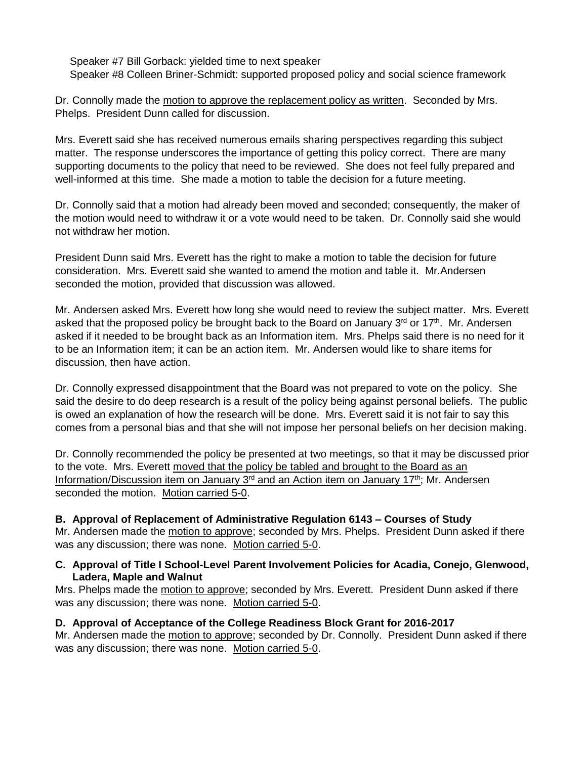Speaker #7 Bill Gorback: yielded time to next speaker Speaker #8 Colleen Briner-Schmidt: supported proposed policy and social science framework

Dr. Connolly made the motion to approve the replacement policy as written. Seconded by Mrs. Phelps. President Dunn called for discussion.

Mrs. Everett said she has received numerous emails sharing perspectives regarding this subject matter. The response underscores the importance of getting this policy correct. There are many supporting documents to the policy that need to be reviewed. She does not feel fully prepared and well-informed at this time. She made a motion to table the decision for a future meeting.

Dr. Connolly said that a motion had already been moved and seconded; consequently, the maker of the motion would need to withdraw it or a vote would need to be taken. Dr. Connolly said she would not withdraw her motion.

President Dunn said Mrs. Everett has the right to make a motion to table the decision for future consideration. Mrs. Everett said she wanted to amend the motion and table it. Mr.Andersen seconded the motion, provided that discussion was allowed.

Mr. Andersen asked Mrs. Everett how long she would need to review the subject matter. Mrs. Everett asked that the proposed policy be brought back to the Board on January  $3^{\text{rd}}$  or 17<sup>th</sup>. Mr. Andersen asked if it needed to be brought back as an Information item. Mrs. Phelps said there is no need for it to be an Information item; it can be an action item. Mr. Andersen would like to share items for discussion, then have action.

Dr. Connolly expressed disappointment that the Board was not prepared to vote on the policy. She said the desire to do deep research is a result of the policy being against personal beliefs. The public is owed an explanation of how the research will be done. Mrs. Everett said it is not fair to say this comes from a personal bias and that she will not impose her personal beliefs on her decision making.

Dr. Connolly recommended the policy be presented at two meetings, so that it may be discussed prior to the vote. Mrs. Everett moved that the policy be tabled and brought to the Board as an Information/Discussion item on January  $3<sup>rd</sup>$  and an Action item on January 17<sup>th</sup>; Mr. Andersen seconded the motion. Motion carried 5-0.

#### **B. Approval of Replacement of Administrative Regulation 6143 – Courses of Study**

Mr. Andersen made the motion to approve; seconded by Mrs. Phelps. President Dunn asked if there was any discussion; there was none. Motion carried 5-0.

#### **C. Approval of Title I School-Level Parent Involvement Policies for Acadia, Conejo, Glenwood, Ladera, Maple and Walnut**

Mrs. Phelps made the motion to approve; seconded by Mrs. Everett. President Dunn asked if there was any discussion; there was none. Motion carried 5-0.

# **D. Approval of Acceptance of the College Readiness Block Grant for 2016-2017**

Mr. Andersen made the motion to approve; seconded by Dr. Connolly. President Dunn asked if there was any discussion; there was none. Motion carried 5-0.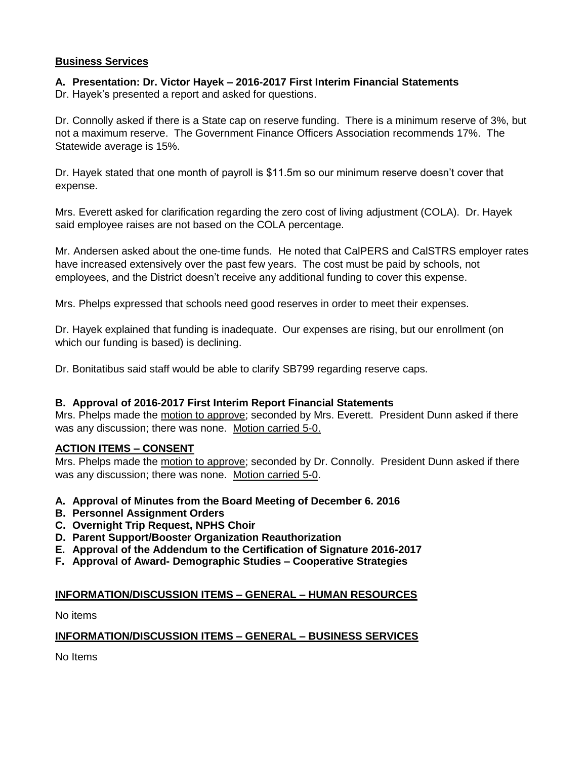#### **Business Services**

# **A. Presentation: Dr. Victor Hayek – 2016-2017 First Interim Financial Statements**

Dr. Hayek's presented a report and asked for questions.

Dr. Connolly asked if there is a State cap on reserve funding. There is a minimum reserve of 3%, but not a maximum reserve. The Government Finance Officers Association recommends 17%. The Statewide average is 15%.

Dr. Hayek stated that one month of payroll is \$11.5m so our minimum reserve doesn't cover that expense.

Mrs. Everett asked for clarification regarding the zero cost of living adjustment (COLA). Dr. Hayek said employee raises are not based on the COLA percentage.

Mr. Andersen asked about the one-time funds. He noted that CalPERS and CalSTRS employer rates have increased extensively over the past few years. The cost must be paid by schools, not employees, and the District doesn't receive any additional funding to cover this expense.

Mrs. Phelps expressed that schools need good reserves in order to meet their expenses.

Dr. Hayek explained that funding is inadequate. Our expenses are rising, but our enrollment (on which our funding is based) is declining.

Dr. Bonitatibus said staff would be able to clarify SB799 regarding reserve caps.

#### **B. Approval of 2016-2017 First Interim Report Financial Statements**

Mrs. Phelps made the motion to approve; seconded by Mrs. Everett. President Dunn asked if there was any discussion; there was none. Motion carried 5-0.

#### **ACTION ITEMS – CONSENT**

Mrs. Phelps made the motion to approve; seconded by Dr. Connolly. President Dunn asked if there was any discussion; there was none. Motion carried 5-0.

- **A. Approval of Minutes from the Board Meeting of December 6. 2016**
- **B. Personnel Assignment Orders**
- **C. Overnight Trip Request, NPHS Choir**
- **D. Parent Support/Booster Organization Reauthorization**
- **E. Approval of the Addendum to the Certification of Signature 2016-2017**
- **F. Approval of Award- Demographic Studies – Cooperative Strategies**

#### **INFORMATION/DISCUSSION ITEMS – GENERAL – HUMAN RESOURCES**

No items

#### **INFORMATION/DISCUSSION ITEMS – GENERAL – BUSINESS SERVICES**

No Items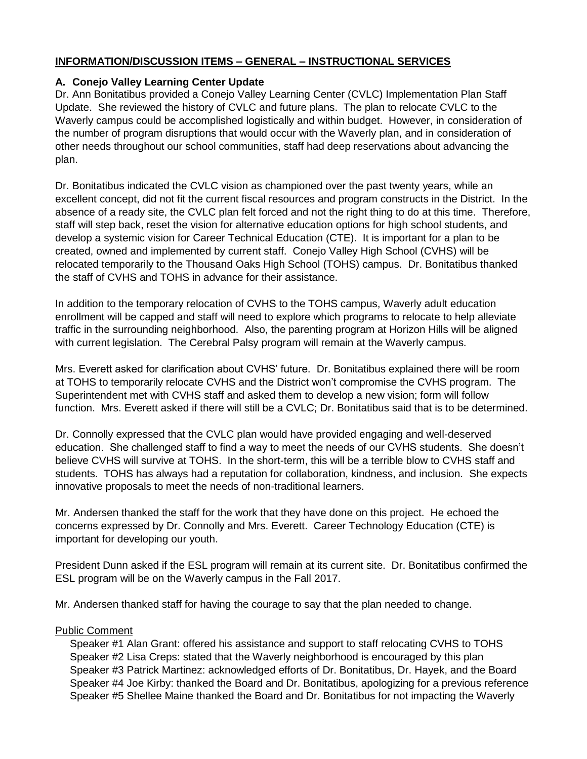# **INFORMATION/DISCUSSION ITEMS – GENERAL – INSTRUCTIONAL SERVICES**

# **A. Conejo Valley Learning Center Update**

Dr. Ann Bonitatibus provided a Conejo Valley Learning Center (CVLC) Implementation Plan Staff Update. She reviewed the history of CVLC and future plans. The plan to relocate CVLC to the Waverly campus could be accomplished logistically and within budget. However, in consideration of the number of program disruptions that would occur with the Waverly plan, and in consideration of other needs throughout our school communities, staff had deep reservations about advancing the plan.

Dr. Bonitatibus indicated the CVLC vision as championed over the past twenty years, while an excellent concept, did not fit the current fiscal resources and program constructs in the District. In the absence of a ready site, the CVLC plan felt forced and not the right thing to do at this time. Therefore, staff will step back, reset the vision for alternative education options for high school students, and develop a systemic vision for Career Technical Education (CTE). It is important for a plan to be created, owned and implemented by current staff. Conejo Valley High School (CVHS) will be relocated temporarily to the Thousand Oaks High School (TOHS) campus. Dr. Bonitatibus thanked the staff of CVHS and TOHS in advance for their assistance.

In addition to the temporary relocation of CVHS to the TOHS campus, Waverly adult education enrollment will be capped and staff will need to explore which programs to relocate to help alleviate traffic in the surrounding neighborhood. Also, the parenting program at Horizon Hills will be aligned with current legislation. The Cerebral Palsy program will remain at the Waverly campus.

Mrs. Everett asked for clarification about CVHS' future. Dr. Bonitatibus explained there will be room at TOHS to temporarily relocate CVHS and the District won't compromise the CVHS program. The Superintendent met with CVHS staff and asked them to develop a new vision; form will follow function. Mrs. Everett asked if there will still be a CVLC; Dr. Bonitatibus said that is to be determined.

Dr. Connolly expressed that the CVLC plan would have provided engaging and well-deserved education. She challenged staff to find a way to meet the needs of our CVHS students. She doesn't believe CVHS will survive at TOHS. In the short-term, this will be a terrible blow to CVHS staff and students. TOHS has always had a reputation for collaboration, kindness, and inclusion. She expects innovative proposals to meet the needs of non-traditional learners.

Mr. Andersen thanked the staff for the work that they have done on this project. He echoed the concerns expressed by Dr. Connolly and Mrs. Everett. Career Technology Education (CTE) is important for developing our youth.

President Dunn asked if the ESL program will remain at its current site. Dr. Bonitatibus confirmed the ESL program will be on the Waverly campus in the Fall 2017.

Mr. Andersen thanked staff for having the courage to say that the plan needed to change.

#### Public Comment

 Speaker #1 Alan Grant: offered his assistance and support to staff relocating CVHS to TOHS Speaker #2 Lisa Creps: stated that the Waverly neighborhood is encouraged by this plan Speaker #3 Patrick Martinez: acknowledged efforts of Dr. Bonitatibus, Dr. Hayek, and the Board Speaker #4 Joe Kirby: thanked the Board and Dr. Bonitatibus, apologizing for a previous reference Speaker #5 Shellee Maine thanked the Board and Dr. Bonitatibus for not impacting the Waverly